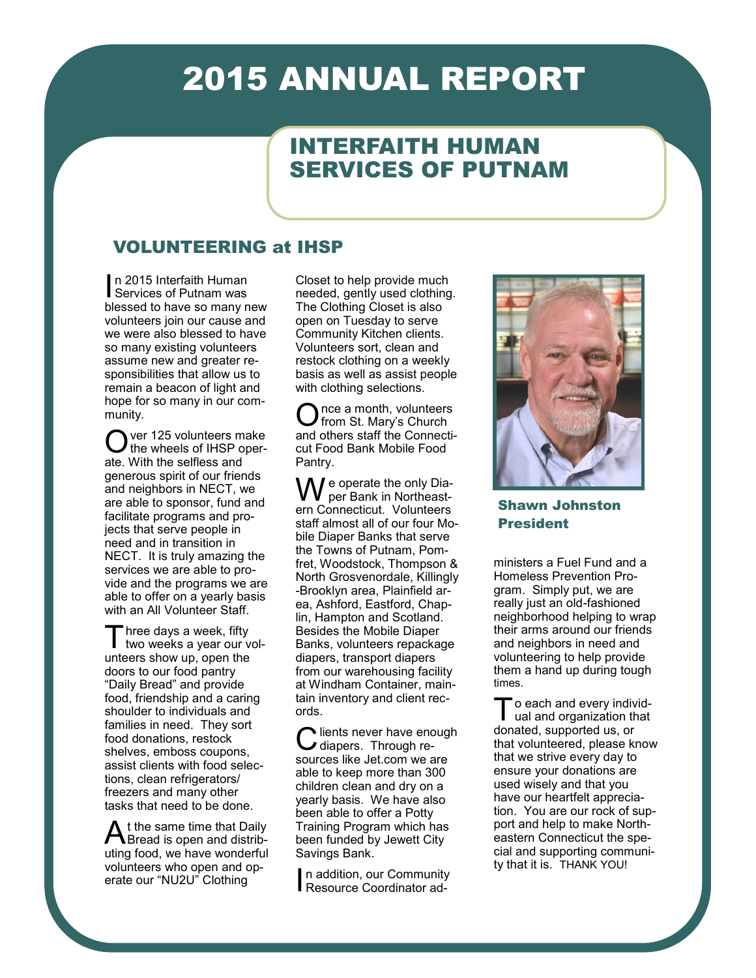# 2015 ANNUAL REPORT

# INTERFAITH HUMAN SERVICES OF PUTNAM

### VOLUNTEERING at IHSP

In 2015 Interfaith Human<br>Services of Putnam was Services of Putnam was blessed to have so many new volunteers join our cause and we were also blessed to have so many existing volunteers assume new and greater responsibilities that allow us to remain a beacon of light and hope for so many in our community.

O ver 125 volunteers make the wheels of IHSP operate. With the selfless and generous spirit of our friends and neighbors in NECT, we are able to sponsor, fund and facilitate programs and projects that serve people in need and in transition in NECT. It is truly amazing the services we are able to provide and the programs we are able to offer on a yearly basis with an All Volunteer Staff.

Three days a week, fifty<br>two weeks a year our volhree days a week, fifty unteers show up, open the doors to our food pantry "Daily Bread" and provide food, friendship and a caring shoulder to individuals and families in need. They sort food donations, restock shelves, emboss coupons, assist clients with food selections, clean refrigerators/ freezers and many other tasks that need to be done.

A t the same time that Daily<br>Bread is open and distrib-Bread is open and distributing food, we have wonderful volunteers who open and operate our "NU2U" Clothing

Closet to help provide much needed, gently used clothing. The Clothing Closet is also open on Tuesday to serve Community Kitchen clients. Volunteers sort, clean and restock clothing on a weekly basis as well as assist people with clothing selections.

Once a month, volunteers<br>and others staff the Connectince a month, volunteers from St. Mary's Church cut Food Bank Mobile Food Pantry.

e operate the only Diaper Bank in Northeastern Connecticut. Volunteers staff almost all of our four Mobile Diaper Banks that serve the Towns of Putnam, Pomfret, Woodstock, Thompson & North Grosvenordale, Killingly -Brooklyn area, Plainfield area, Ashford, Eastford, Chaplin, Hampton and Scotland. Besides the Mobile Diaper Banks, volunteers repackage diapers, transport diapers from our warehousing facility at Windham Container, maintain inventory and client records.

C lients never have end<br>C diapers. Through relients never have enough sources like Jet.com we are able to keep more than 300 children clean and dry on a yearly basis. We have also been able to offer a Potty Training Program which has been funded by Jewett City Savings Bank.

In addition, our Community<br>Resource Coordinator adn addition, our Community



Shawn Johnston President

ministers a Fuel Fund and a Homeless Prevention Program. Simply put, we are really just an old-fashioned neighborhood helping to wrap their arms around our friends and neighbors in need and volunteering to help provide them a hand up during tough times.

To each and every indiv<br>
ual and organization th<br>
donated, supported us, or o each and every individual and organization that that volunteered, please know that we strive every day to ensure your donations are used wisely and that you have our heartfelt appreciation. You are our rock of support and help to make Northeastern Connecticut the special and supporting community that it is. THANK YOU!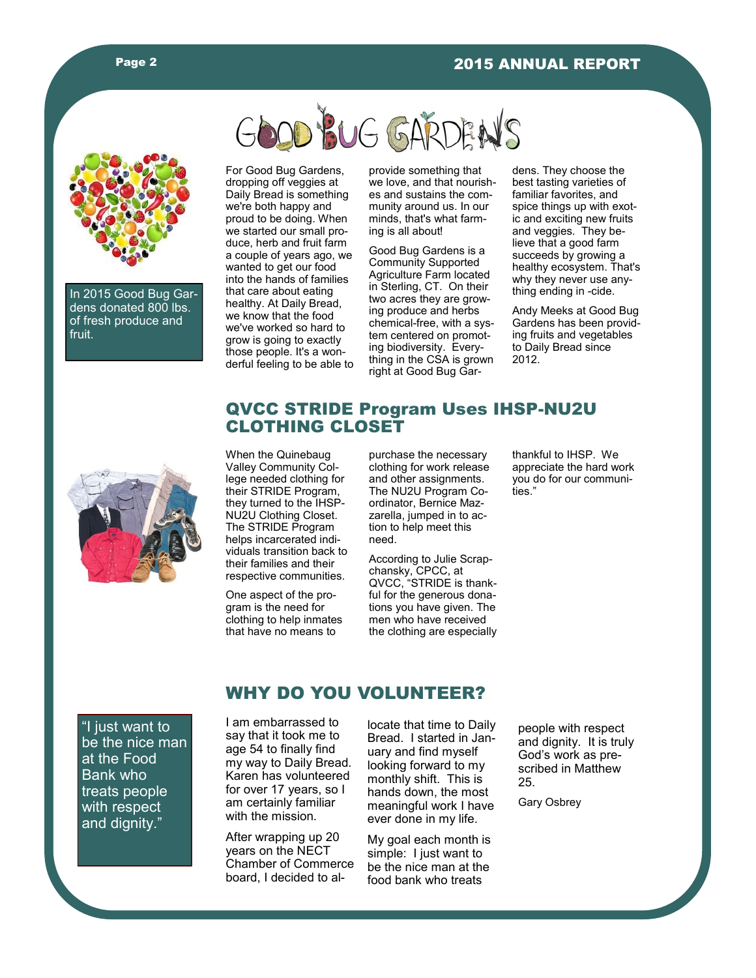

In 2015 Good Bug Gardens donated 800 lbs. of fresh produce and fruit.



For Good Bug Gardens, dropping off veggies at Daily Bread is something we're both happy and proud to be doing. When we started our small produce, herb and fruit farm a couple of years ago, we wanted to get our food into the hands of families that care about eating healthy. At Daily Bread, we know that the food we've worked so hard to grow is going to exactly those people. It's a wonderful feeling to be able to

provide something that we love, and that nourishes and sustains the community around us. In our minds, that's what farming is all about!

Good Bug Gardens is a Community Supported Agriculture Farm located in Sterling, CT. On their two acres they are growing produce and herbs chemical-free, with a system centered on promoting biodiversity. Everything in the CSA is grown right at Good Bug Gardens. They choose the best tasting varieties of familiar favorites, and spice things up with exotic and exciting new fruits and veggies. They believe that a good farm succeeds by growing a healthy ecosystem. That's why they never use anything ending in -cide.

Andy Meeks at Good Bug Gardens has been providing fruits and vegetables to Daily Bread since 2012.



#### QVCC STRIDE Program Uses IHSP-NU2U CLOTHING CLOSET

When the Quinebaug Valley Community College needed clothing for their STRIDE Program, they turned to the IHSP-NU2U Clothing Closet. The STRIDE Program helps incarcerated individuals transition back to their families and their respective communities.

One aspect of the program is the need for clothing to help inmates that have no means to

purchase the necessary clothing for work release and other assignments. The NU2U Program Coordinator, Bernice Mazzarella, jumped in to action to help meet this need.

According to Julie Scrapchansky, CPCC, at QVCC, "STRIDE is thankful for the generous donations you have given. The men who have received the clothing are especially thankful to IHSP. We appreciate the hard work you do for our communities."

"I just want to be the nice man at the Food Bank who treats people with respect and dignity."

#### I am embarrassed to say that it took me to age 54 to finally find my way to Daily Bread.

WHY DO YOU VOLUNTEER?

Karen has volunteered for over 17 years, so I am certainly familiar with the mission.

After wrapping up 20 years on the NECT Chamber of Commerce board, I decided to allocate that time to Daily Bread. I started in January and find myself looking forward to my monthly shift. This is hands down, the most meaningful work I have ever done in my life.

My goal each month is simple: I just want to be the nice man at the food bank who treats

people with respect and dignity. It is truly God's work as prescribed in Matthew 25.

Gary Osbrey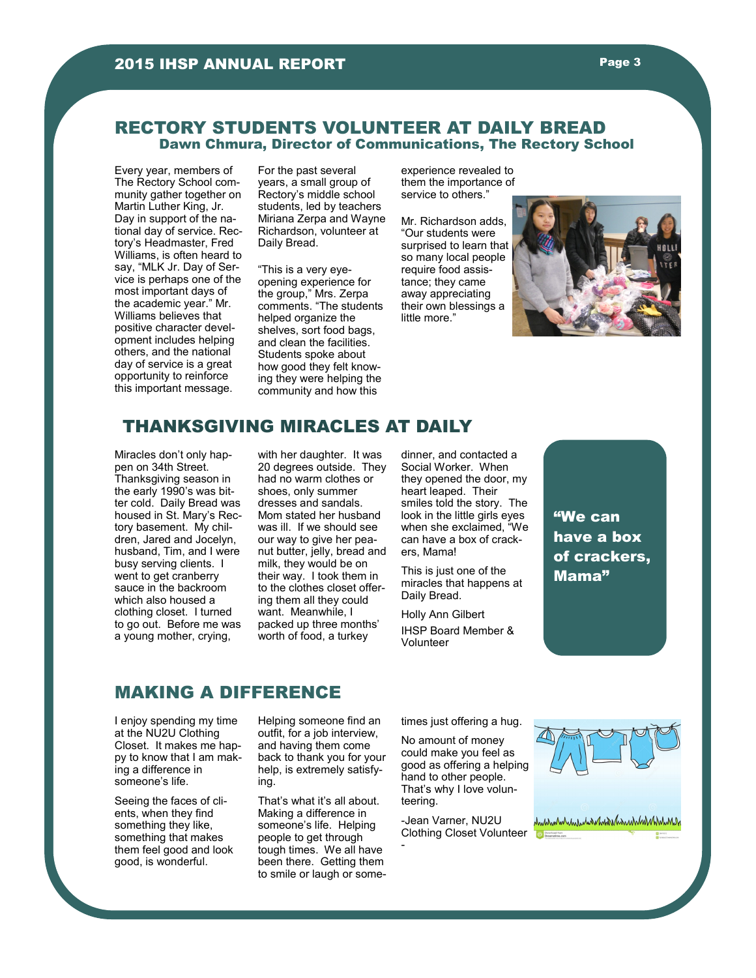#### RECTORY STUDENTS VOLUNTEER AT DAILY BREAD Dawn Chmura, Director of Communications, The Rectory School

Every year, members of The Rectory School community gather together on Martin Luther King, Jr. Day in support of the national day of service. Rectory's Headmaster, Fred Williams, is often heard to say, "MLK Jr. Day of Service is perhaps one of the most important days of the academic year." Mr. Williams believes that positive character development includes helping others, and the national day of service is a great opportunity to reinforce this important message.

For the past several years, a small group of Rectory's middle school students, led by teachers Miriana Zerpa and Wayne Richardson, volunteer at Daily Bread.

"This is a very eyeopening experience for the group," Mrs. Zerpa comments. "The students helped organize the shelves, sort food bags, and clean the facilities. Students spoke about how good they felt knowing they were helping the community and how this

experience revealed to them the importance of service to others."

Mr. Richardson adds, "Our students were surprised to learn that so many local people require food assistance; they came away appreciating their own blessings a little more."



#### THANKSGIVING MIRACLES AT DAILY

Miracles don't only happen on 34th Street. Thanksgiving season in the early 1990's was bitter cold. Daily Bread was housed in St. Mary's Rectory basement. My children, Jared and Jocelyn, husband, Tim, and I were busy serving clients. I went to get cranberry sauce in the backroom which also housed a clothing closet. I turned to go out. Before me was a young mother, crying,

with her daughter. It was 20 degrees outside. They had no warm clothes or shoes, only summer dresses and sandals. Mom stated her husband was ill. If we should see our way to give her peanut butter, jelly, bread and milk, they would be on their way. I took them in to the clothes closet offering them all they could want. Meanwhile, I packed up three months' worth of food, a turkey

dinner, and contacted a Social Worker. When they opened the door, my heart leaped. Their smiles told the story. The look in the little girls eyes when she exclaimed, "We can have a box of crackers, Mama!

This is just one of the miracles that happens at Daily Bread.

Holly Ann Gilbert IHSP Board Member & Volunteer

"We can have a box of crackers, Mama"

#### MAKING A DIFFERENCE

I enjoy spending my time at the NU2U Clothing Closet. It makes me happy to know that I am making a difference in someone's life.

Seeing the faces of clients, when they find something they like. something that makes them feel good and look good, is wonderful.

Helping someone find an outfit, for a job interview, and having them come back to thank you for your help, is extremely satisfying.

That's what it's all about. Making a difference in someone's life. Helping people to get through tough times. We all have been there. Getting them to smile or laugh or sometimes just offering a hug.

No amount of money could make you feel as good as offering a helping hand to other people. That's why I love volunteering.

-Jean Varner, NU2U Clothing Closet Volunteer

-

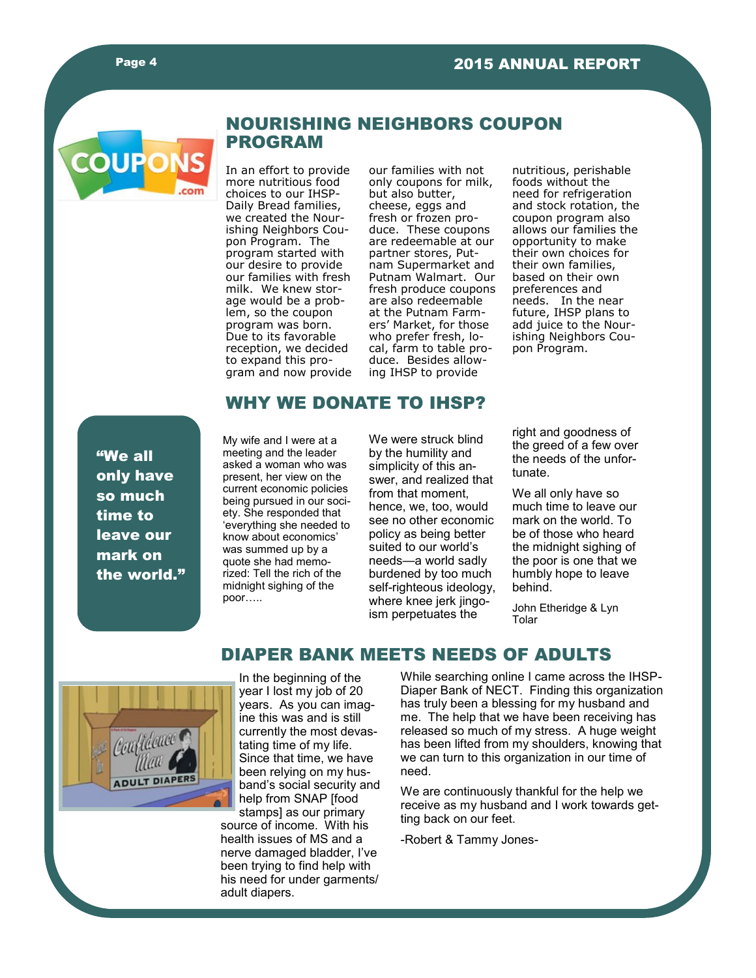

#### NOURISHING NEIGHBORS COUPON PROGRAM

In an effort to provide more nutritious food choices to our IHSP-Daily Bread families, we created the Nourishing Neighbors Coupon Program. The program started with our desire to provide our families with fresh milk. We knew storage would be a problem, so the coupon program was born. Due to its favorable reception, we decided to expand this program and now provide

our families with not only coupons for milk, but also butter, cheese, eggs and fresh or frozen produce. These coupons are redeemable at our partner stores, Putnam Supermarket and Putnam Walmart. Our fresh produce coupons are also redeemable at the Putnam Farmers' Market, for those who prefer fresh, local, farm to table produce. Besides allowing IHSP to provide

nutritious, perishable foods without the need for refrigeration and stock rotation, the coupon program also allows our families the opportunity to make their own choices for their own families, based on their own preferences and needs. In the near future, IHSP plans to add juice to the Nourishing Neighbors Coupon Program.

#### WHY WE DONATE TO IHSP?

"We all only have so much time to leave our mark on the world." My wife and I were at a meeting and the leader asked a woman who was present, her view on the current economic policies being pursued in our society. She responded that 'everything she needed to know about economics' was summed up by a quote she had memorized: Tell the rich of the midnight sighing of the poor…..

We were struck blind by the humility and simplicity of this answer, and realized that from that moment, hence, we, too, would see no other economic policy as being better suited to our world's needs—a world sadly burdened by too much self-righteous ideology, where knee jerk jingoism perpetuates the

right and goodness of the greed of a few over the needs of the unfortunate.

We all only have so much time to leave our mark on the world. To be of those who heard the midnight sighing of the poor is one that we humbly hope to leave behind.

John Etheridge & Lyn Tolar



# DIAPER BANK MEETS NEEDS OF ADULTS

In the beginning of the year I lost my job of 20 years. As you can imagine this was and is still currently the most devastating time of my life. Since that time, we have been relying on my husband's social security and help from SNAP [food stamps] as our primary

source of income. With his health issues of MS and a nerve damaged bladder, I've been trying to find help with his need for under garments/ adult diapers.

While searching online I came across the IHSP-Diaper Bank of NECT. Finding this organization has truly been a blessing for my husband and me. The help that we have been receiving has released so much of my stress. A huge weight has been lifted from my shoulders, knowing that we can turn to this organization in our time of need.

We are continuously thankful for the help we receive as my husband and I work towards getting back on our feet.

-Robert & Tammy Jones-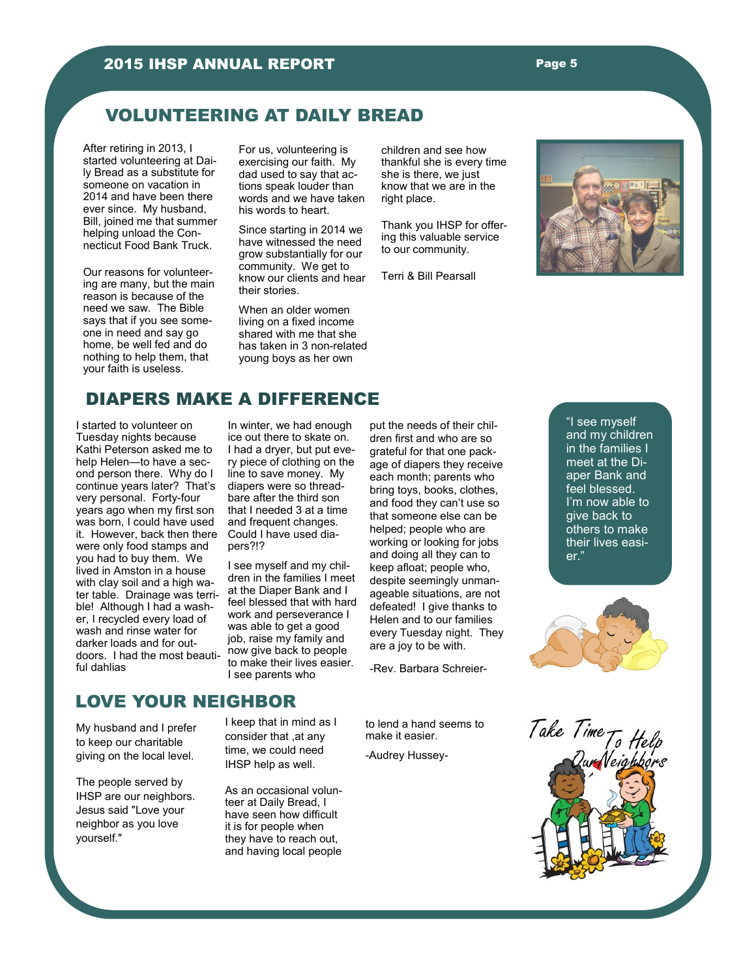#### VOLUNTEERING AT DAILY BREAD

After retiring in 2013, I started volunteering at Daily Bread as a substitute for someone on vacation in 2014 and have been there ever since. My husband, Bill, joined me that summer helping unload the Connecticut Food Bank Truck.

Our reasons for volunteering are many, but the main reason is because of the need we saw. The Bible says that if you see someone in need and say go home, be well fed and do nothing to help them, that your faith is useless.

For us, volunteering is exercising our faith. My dad used to say that actions speak louder than words and we have taken his words to heart.

Since starting in 2014 we have witnessed the need grow substantially for our community. We get to know our clients and hear their stories.

When an older women living on a fixed income shared with me that she has taken in 3 non-related young boys as her own

children and see how thankful she is every time she is there, we just know that we are in the right place.

Thank you IHSP for offering this valuable service to our community.

Terri & Bill Pearsall



#### DIAPERS MAKE A DIFFERENCE

I started to volunteer on Tuesday nights because Kathi Peterson asked me to help Helen—to have a second person there. Why do I continue years later? That's very personal. Forty-four years ago when my first son was born, I could have used it. However, back then there were only food stamps and you had to buy them. We lived in Amston in a house with clay soil and a high water table. Drainage was terrible! Although I had a washer, I recycled every load of wash and rinse water for darker loads and for outdoors. I had the most beautiful dahlias

In winter, we had enough ice out there to skate on. I had a dryer, but put every piece of clothing on the line to save money. My diapers were so threadbare after the third son that I needed 3 at a time and frequent changes. Could I have used diapers?!?

I see myself and my children in the families I meet at the Diaper Bank and I feel blessed that with hard work and perseverance I was able to get a good job, raise my family and now give back to people to make their lives easier. I see parents who

put the needs of their children first and who are so grateful for that one package of diapers they receive each month; parents who bring toys, books, clothes, and food they can't use so that someone else can be helped; people who are working or looking for jobs and doing all they can to keep afloat; people who, despite seemingly unmanageable situations, are not defeated! I give thanks to Helen and to our families every Tuesday night. They are a joy to be with.

-Rev. Barbara Schreier-

## LOVE YOUR NEIGHBOR

My husband and I prefer to keep our charitable giving on the local level.

The people served by IHSP are our neighbors. Jesus said "Love your neighbor as you love yourself."

I keep that in mind as I consider that ,at any time, we could need IHSP help as well.

As an occasional volunteer at Daily Bread, I have seen how difficult it is for people when they have to reach out, and having local people

to lend a hand seems to make it easier.

-Audrey Hussey-

"I see myself and my children in the families I meet at the Diaper Bank and feel blessed. I'm now able to give back to others to make their lives easier."